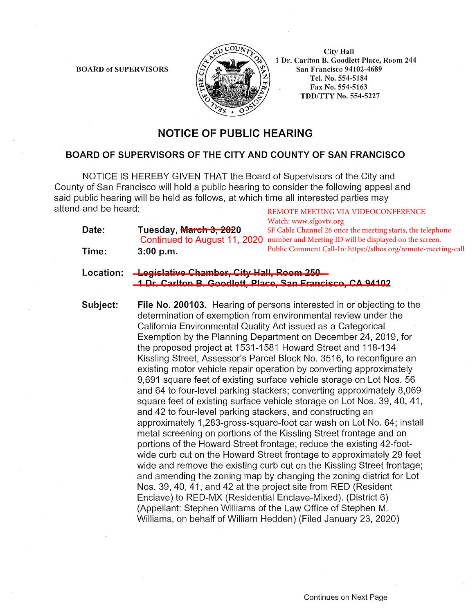BOARD of SUPERVISORS



City Hall 1 Dr. Carlton B. Goodlett Place, Room 244 San Francisco 94102-4689 Tel. No. 554-5184 Fax No. 554-5163 TDD/TTY No. 554-5227

## **NOTICE OF PUBLIC HEARING**

## **BOARD OF SUPERVISORS OF THE CITY AND COUNTY OF SAN FRANCISCO**

NOTICE IS HEREBY GIVEN THAT the Board of Supervisors of the City and County of San Francisco will hold a public hearing to consider the following appeal and said public hearing will be held as follows, at which time all interested parties may attend and be heard: REMOTE MEETING VIA VIDEOCONFERENCE

| Date: | Tuesday, <del>March 3, 202</del> 0 | Watch: www.sfgovtv.org<br>SF Cable Channel 26 once the meeting starts, the telephone<br>Continued to August 11, 2020 number and Meeting ID will be displayed on the screen. |
|-------|------------------------------------|-----------------------------------------------------------------------------------------------------------------------------------------------------------------------------|
| Time: | 3:00 p.m.                          | Public Comment Call-In: https://sfbos.org/remote-meeting-call                                                                                                               |

Location: Legislative Chamber, City Hall, Room 250 **1 Dr. Carlton B. Goodlett, Place, San Francisco, CA 94102**  \_\_\_\_\_\_\_\_\_\_\_\_\_\_\_\_\_\_\_\_\_\_\_\_\_\_\_\_\_\_\_\_\_\_\_\_\_\_\_\_\_\_\_\_\_\_\_\_\_\_\_\_\_\_\_

**Subject: File No. 200103.** Hearing of persons interested in or objecting to the determination of exemption from environmental review under the California Environmental Quality Act issued as a Categorical Exemption by the Planning Department on December 24, 2019, for the proposed project at 1531-1581 Howard Street and 118-134 Kissling Street, Assessor's Parcel Block No. 3516, to reconfigure an existing motor vehicle repair operation by converting approximately 9,691 square feet of existing surface vehicle storage on Lot Nos. 56 and 64 to four-level parking stackers; converting approximately 8,069 square feet of existing surface vehicle storage on Lot Nos. 39, 40, 41, and 42 to four-level parking stackers, and constructing an approximately 1 ,283-gross-square-foot car wash on Lot No. 64; install metal screening on portions of the Kissling Street frontage and on portions of the Howard Street frontage; reduce the existing 42-footwide curb cut on the Howard Street frontage to approximately 29 feet wide and remove the existing curb cut on the Kissling Street frontage; and amending the zoning map by changing the zoning district for Lot Nos. 39, 40, 41, and 42 at the project site from RED (Resident Enclave) to RED-MX (Residential Enclave-Mixed). (District 6) (Appellant: Stephen Williams of the Law Office of Stephen M. Williams, on behalf of William Hedden) (Filed January 23, 2020)